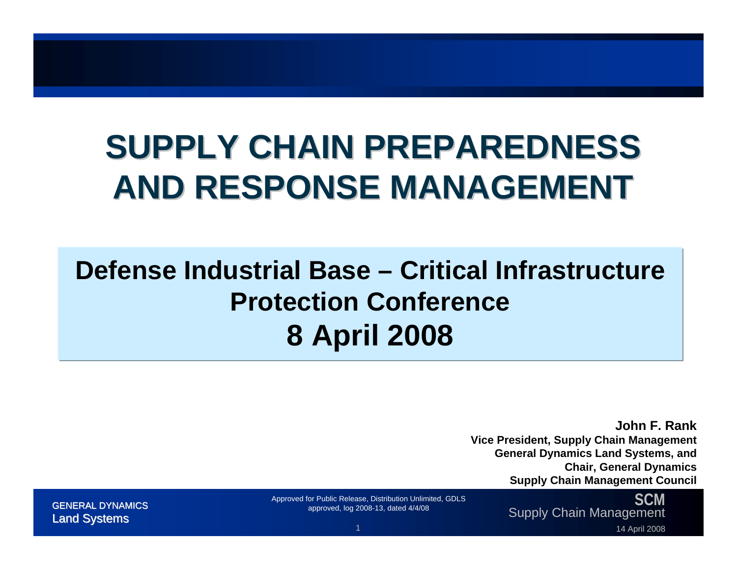## **SUPPLY CHAIN PREPAREDNESS SUPPLY CHAIN PREPAREDNESSAND RESPONSE MANAGEMENT AND RESPONSE MANAGEMENT**

### **Defense Industrial Base – Critical Infrastructure Protection Conference8 April 2008**

**John F. Rank**

**Vice President, Supply Chain Management General Dynamics Land Systems, and Chair, General Dynamics Supply Chain Management Council**

**SCM**SUM Approved for Public Release, Distribution Unlimited, GDLS SUPPLY Chain Management (GENERAL DYNAMICS approved, log 2008-13, dated 4/4/08 approved, log 2008-13, dated 4/4/08 approved, log 2008-13, dated 4/4/08 approved,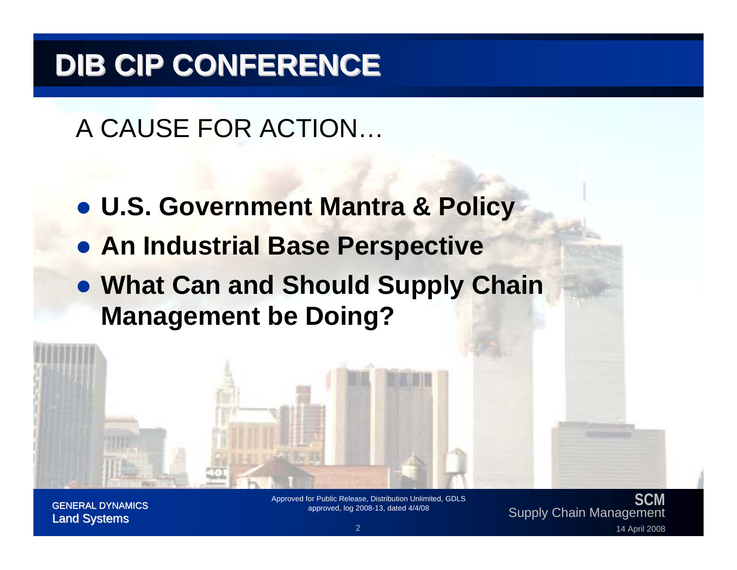## **DIB CIP CONFERENCE DIB CIP CONFERENCE**

A CAUSE FOR ACTION…

- z **U.S. Government Mantra & Policy**
- **An Industrial Base Perspective**
- **What Can and Should Supply Chain Management be Doing?**

**SCM**SUM Approved for Public Release, Distribution Unlimited, GDLS<br>GENERAL DYNAMICS approved, log 2008-13, dated 4/4/08 approved, log 2008-13, dated 4/4/08 approved, log 2008-13<br>14 April 2008 approved, log 2008-13, dated 4/4/08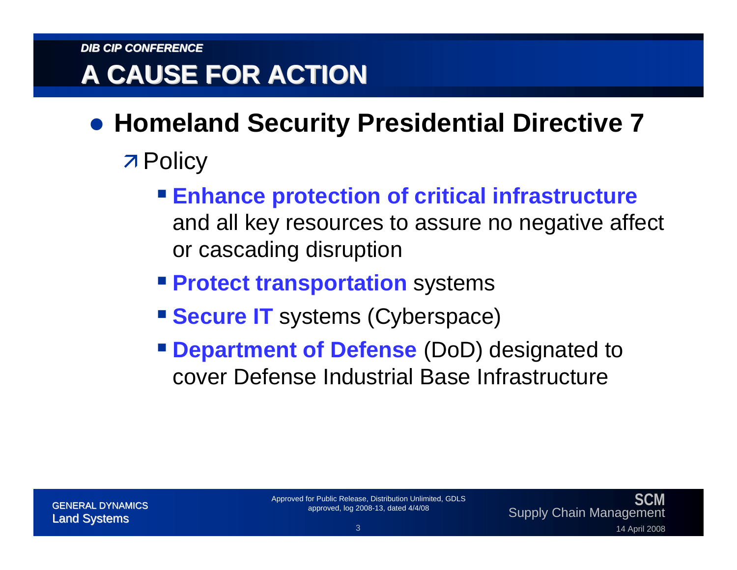#### **A CAUSE FOR ACTION A CAUSE FOR ACTION**

#### **• Homeland Security Presidential Directive 7**

- **7 Policy** 
	- **Enhance protection of critical infrastructure** and all key resources to assure no negative affect or cascading disruption
	- **Protect transportation** systems
	- **Secure IT** systems (Cyberspace)
	- **Pepartment of Defense** (DoD) designated to cover Defense Industrial Base Infrastructure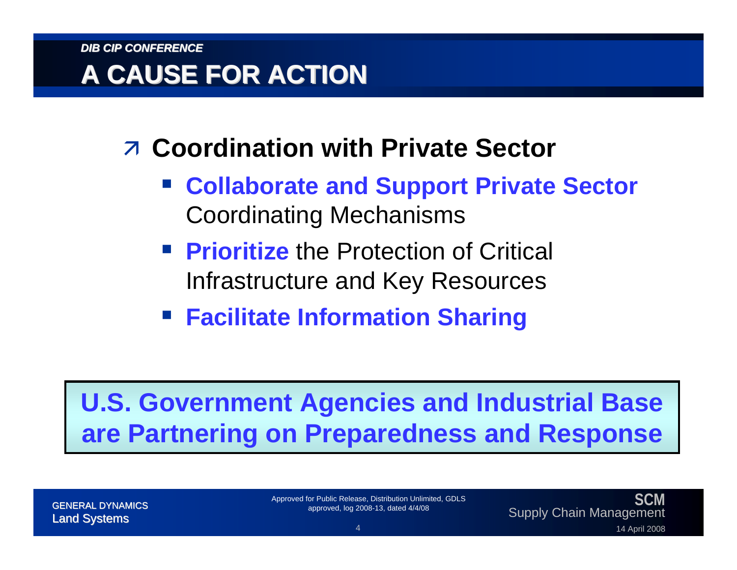#### **A CAUSE FOR ACTION A CAUSE FOR ACTION**

- **Z Coordination with Private Sector** 
	- **Collaborate and Support Private Sector** Coordinating Mechanisms
	- **Prioritize** the Protection of Critical Infrastructure and Key Resources
	- **Facilitate Information Sharing**

#### **U.S. Government Agencies and Industrial Base are Partnering on Preparedness and Response**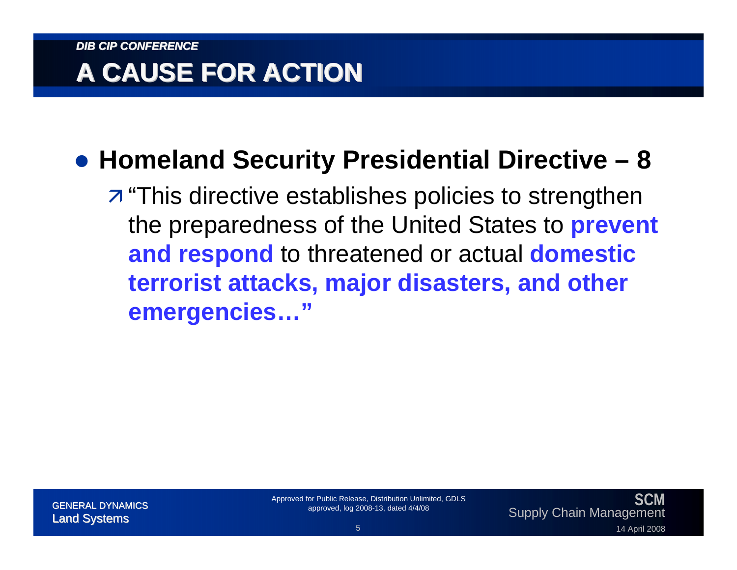### **A CAUSE FOR ACTION A CAUSE FOR ACTION**

#### z **Homeland Security Presidential Directive – 8**

 $\overline{z}$  "This directive establishes policies to strengthen the preparedness of the United States to **prevent and respond** to threatened or actual **domestic terrorist attacks, major disasters, and other emergencies…"**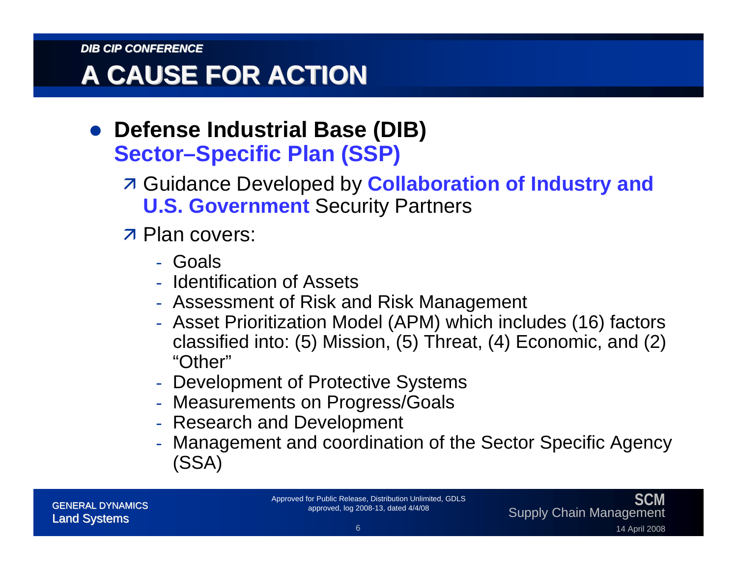#### **A CAUSE FOR ACTION A CAUSE FOR ACTION**

- **Defense Industrial Base (DIB) Sector–Specific Plan (SSP)**
	- **A Guidance Developed by Collaboration of Industry and U.S. Government** Security Partners
	- **7 Plan covers:** 
		- Goals
		- Identification of Assets
		- $\mathcal{L}_{\mathcal{A}}$ Assessment of Risk and Risk Management
		- Asset Prioritization Model (APM) which includes (16) factors classified into: (5) Mission, (5) Threat, (4) Economic, and (2) "Other"
		- Development of Protective Systems
		- $\mathcal{L}_{\mathcal{A}}$ Measurements on Progress/Goals
		- Research and Development
		- $\mathcal{L}_{\mathcal{A}}$  Management and coordination of the Sector Specific Agency (SSA)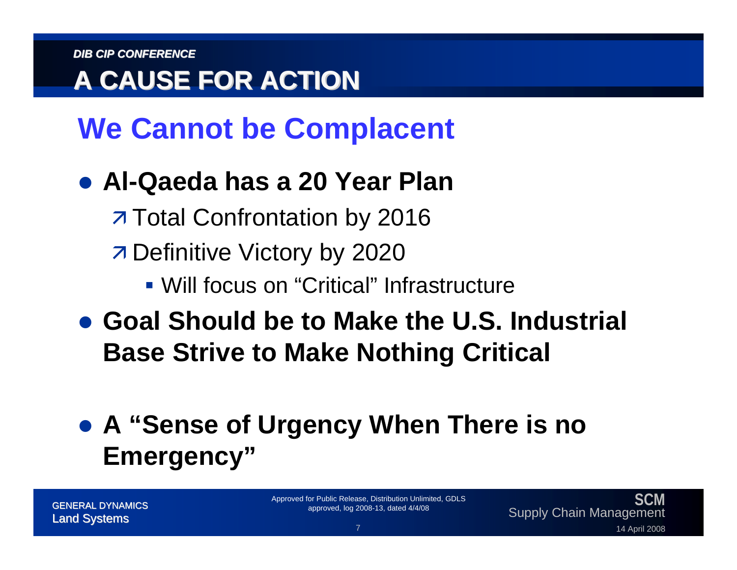### **A CAUSE FOR ACTION A CAUSE FOR ACTION**

## **We Cannot be Complacent**

#### z **Al-Qaeda has a 20 Year Plan**

**7 Total Confrontation by 2016** 

**7 Definitive Victory by 2020** 

Will focus on "Critical" Infrastructure

**• Goal Should be to Make the U.S. Industrial Base Strive to Make Nothing Critical**

#### z **A "Sense of Urgency When There is no Emergency"**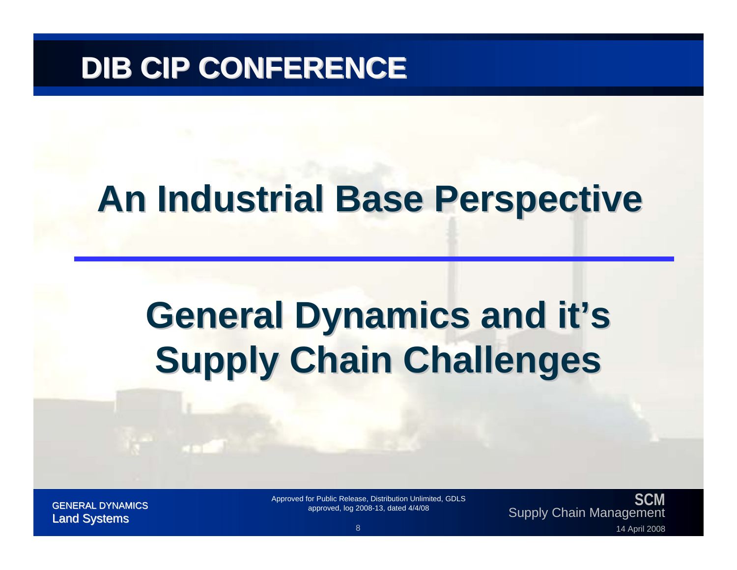## **DIB CIP CONFERENCE DIB CIP CONFERENCE**

## **An Industrial Base Perspective An Industrial Base Perspective**

## **General Dynamics and it's Supply Chain Challenges**

**SCM**SUM Approved for Public Release, Distribution Unlimited, GDLS<br>GENERAL DYNAMICS approved, log 2008-13, dated 4/4/08 approved, log 2008-13, dated 4/4/08 approved, log 2008-13<br>14 April 2008 approved, log 2008-13, dated 4/4/08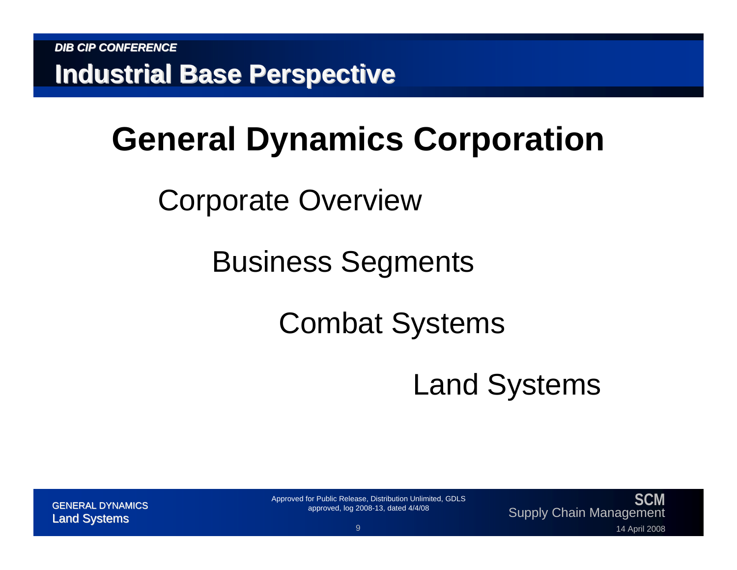## **General Dynamics Corporation**

Corporate Overview

Business Segments

## Combat Systems

Land Systems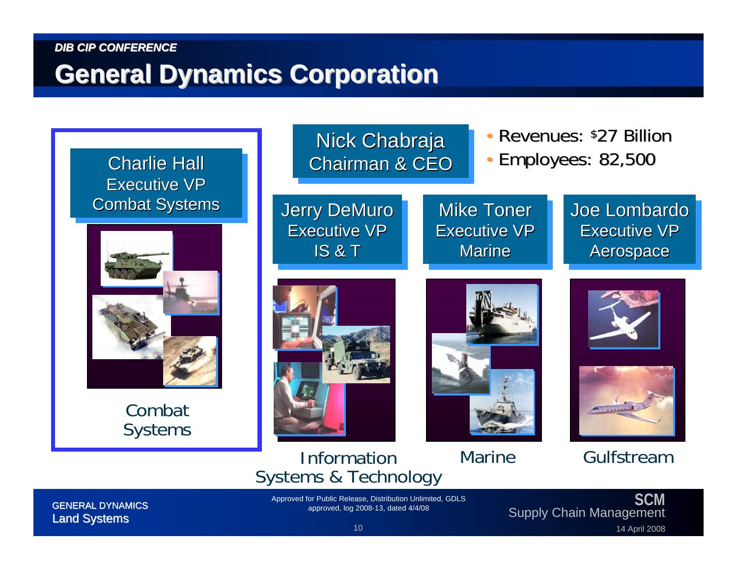#### **General Dynamics Corporation General Dynamics Corporation**



**SCM**SUM Approved for Public Release, Distribution Unlimited, GDLS (GENERAL DYNAMICS LAND SUPPI) Approved, log 2008-13, dated 4/4/08 (Supply Chain Management 10 14 April 2008 Approved, log 2008-13, dated 4/4/08 (Supply Chain Ma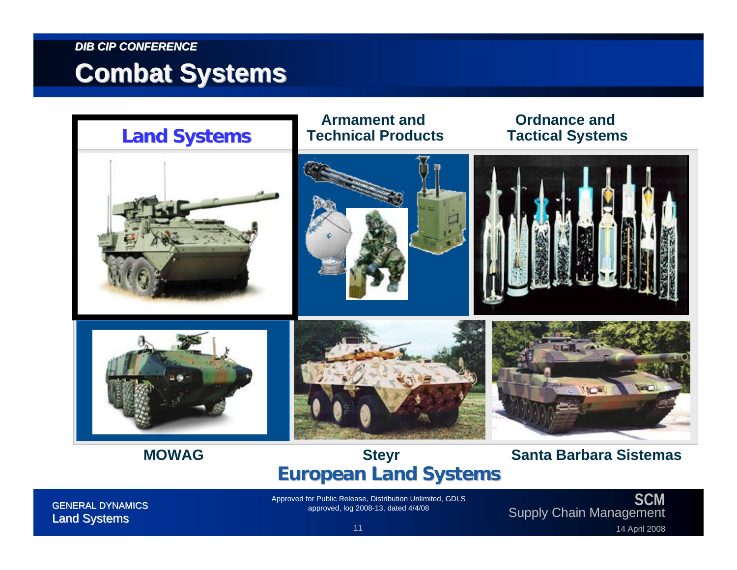#### **Combat Systems Combat Systems**

**MOWAG**



#### **Steyr European Land Systems European Land Systems**

#### **Santa Barbara Sistemas**

**SCM**SUM Approved for Public Release, Distribution Unlimited, GDLS<br>GENERAL DYNAMICS approved, log 2008-13, dated 4/4/08 approved, log 2008-13, dated 4/4/08 approved, log 2008-13<br>14 April 2008 <sup>11</sup> 14 April 2008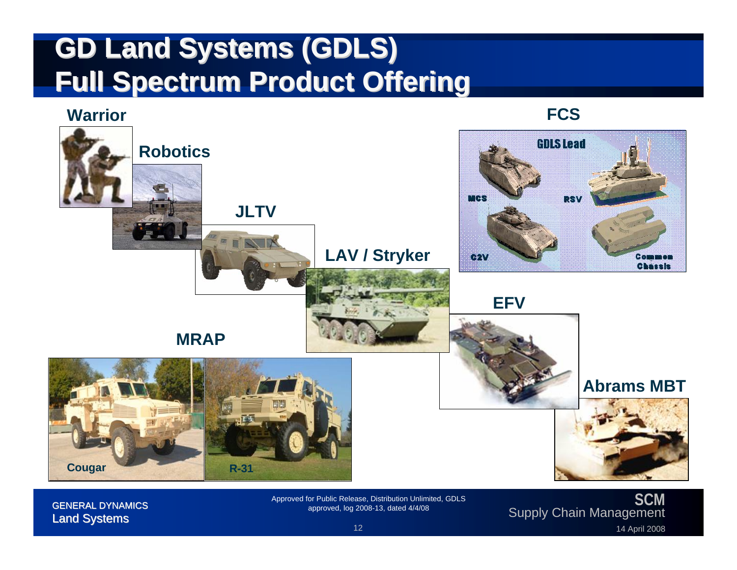### **GD Land Systems (GDLS) GD Land Systems (GDLS) Full Spectrum Product Offering Full Spectrum Product Offering**

#### **Warrior**

**FCS**



**SCM**SUM Approved for Public Release, Distribution Unlimited, GDLS<br>GENERAL DYNAMICS approved, log 2008-13, dated 4/4/08 approved, log 2008-13, dated 4/4/08 approved, log 2008-13<br>14 April 2008 <sup>12</sup> approved, log 2008-13, dated 4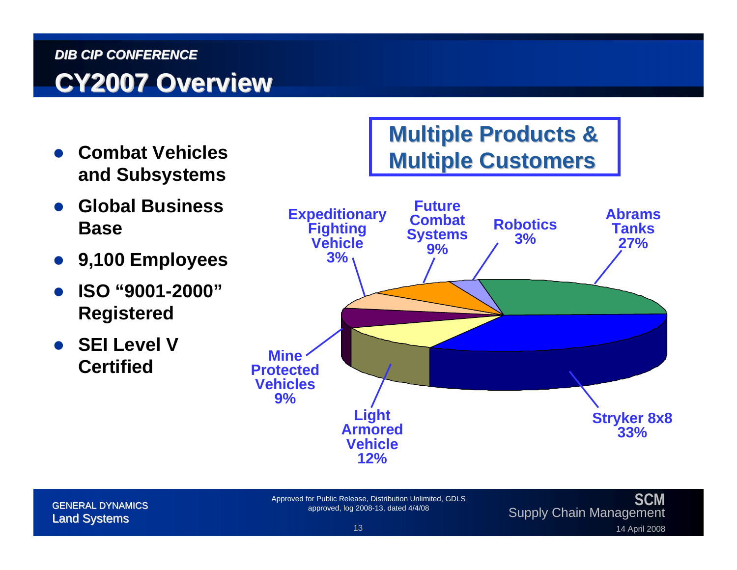#### *DIB CIP CONFERENCE***CY2007 Overview CY2007 Overview**

- O **Combat Vehicles and Subsystems**
- O **Global Business Base**
- O **9,100 Employees**
- O **ISO "9001-2000" Registered**
- O **SEI Level V Certified**



#### **SCM**SUM Approved for Public Release, Distribution Unlimited, GDLS<br>GENERAL DYNAMICS approved, log 2008-13, dated 4/4/08 approved, log 2008-13, dated 4/4/08 approved, log 2008-13<br>14 April 2008 <sup>13</sup> 14 April 2008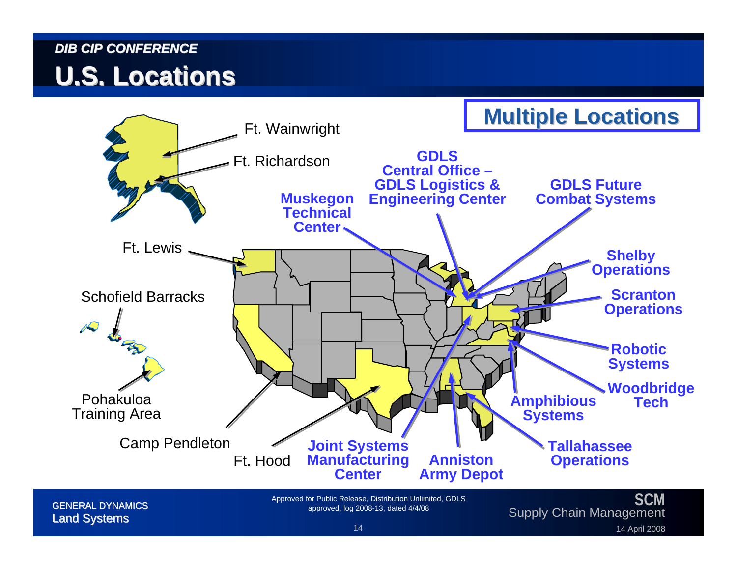#### **U.S. Locations U.S. Locations**



**SCM**SUM Approved for Public Release, Distribution Unlimited, GDLS<br>GENERAL DYNAMICS approved, log 2008-13, dated 4/4/08 approved, log 2008-13, dated 4/4/08 approved, log 2008-13<br>14 April 2008 <sup>14</sup> 14 April 2008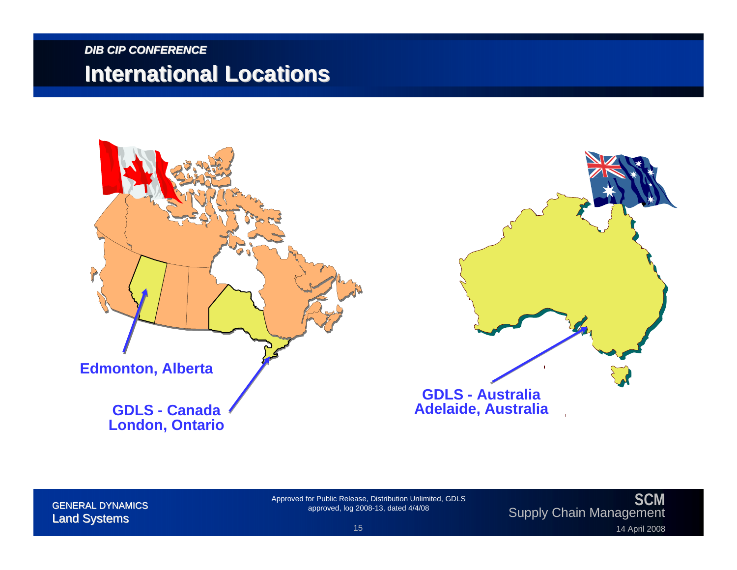#### *DIB CIP CONFERENCE***International Locations International Locations**





#### **SCM**SUM Approved for Public Release, Distribution Unlimited, GDLS<br>GENERAL DYNAMICS approved, log 2008-13, dated 4/4/08 approved, log 2008-13, dated 4/4/08 approved, log 2008-13<br>14 April 2008 <sup>15</sup> 14 April 2008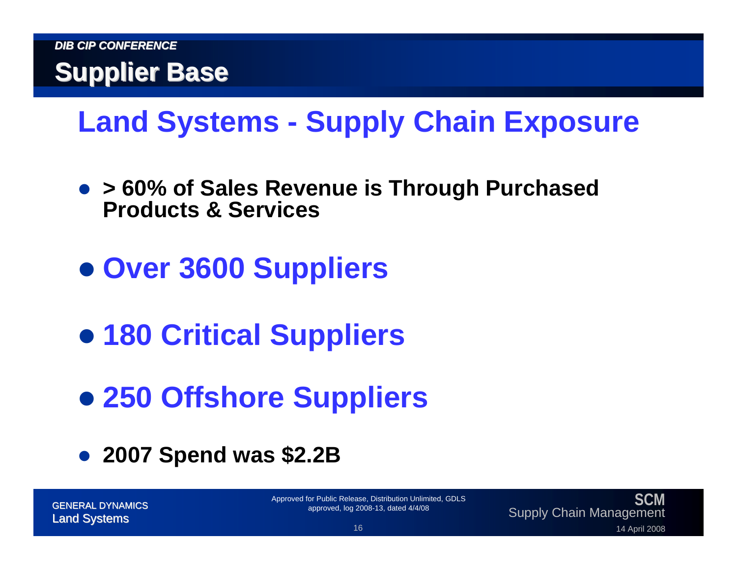

## **Land Systems - Supply Chain Exposure**

- z **> 60% of Sales Revenue is Through Purchased Products & Services**
- z **Over 3600 Suppliers**
- z **180 Critical Suppliers**
- **250 Offshore Suppliers**
- **2007 Spend was \$2.2B**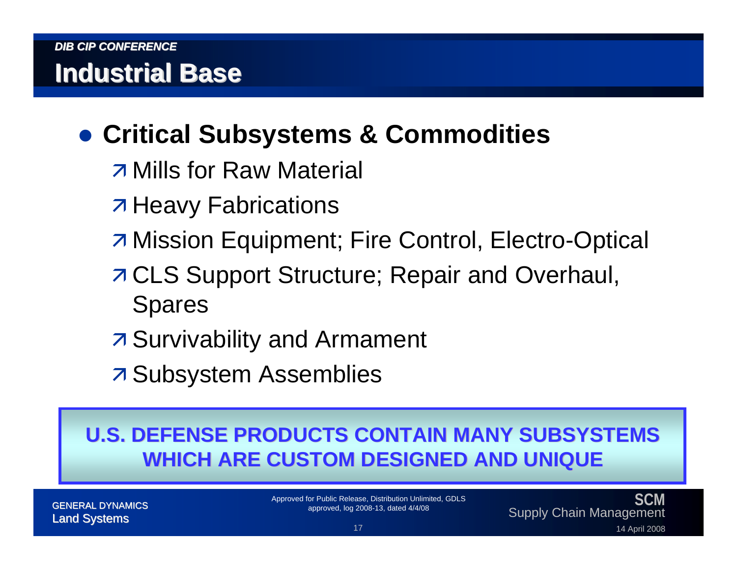### **• Critical Subsystems & Commodities**

- $\overline{\phantom{a}}$  Mills for Raw Material
- **7 Heavy Fabrications**
- **7 Mission Equipment; Fire Control, Electro-Optical**
- **7 CLS Support Structure; Repair and Overhaul,** Spares
- **7 Survivability and Armament**
- **7 Subsystem Assemblies**

#### **U.S. DEFENSE PRODUCTS CONTAIN MANY SUBSYSTEMS WHICH ARE CUSTOM DESIGNED AND UNIQUE WHICH ARE CUSTOM DESIGNED AND UNIQUE**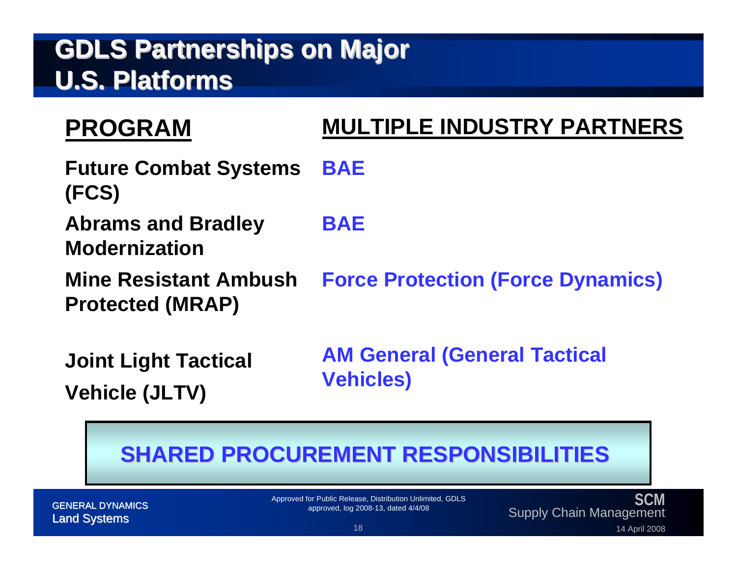#### **GDLS Partnerships on Major GDLS Partnerships on Major U.S. Platforms U.S. Platforms**

#### **PROGRAM**

#### **MULTIPLE INDUSTRY PARTNERS**

- **Future Combat Systems (FCS) BAE**
- **Abrams and Bradley Modernization**
- **Mine Resistant Ambush Protected (MRAP)**
- **BAE**

**Force Protection (Force Dynamics)**

**Joint Light Tactical Vehicle (JLTV)**

**AM General (General Tactical Vehicles)**

#### **SHARED PROCUREMENT RESPONSIBILITIES SHARED PROCUREMENT RESPONSIBILITIES**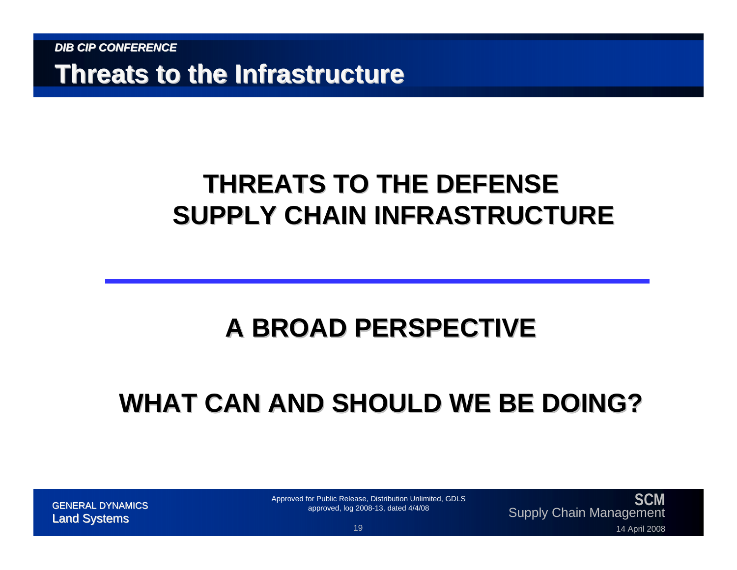**Threats to the Infrastructure Threats to the Infrastructure**

#### **THREATS TO THE DEFENSE SUPPLY CHAIN INFRASTRUCTURE SUPPLY CHAIN INFRASTRUCTURE**

#### **A BROAD PERSPECTIVE BROAD PERSPECTIVE**

### **WHAT CAN AND SHOULD WE BE DOING? WHAT CAN AND SHOULD WE BE DOING?**

**SCM**Supply Chain Management GENERAL DYNAMICS Land Systems Land Systems 1914 Approved for Public Release, Distribution Unlimited, GDLS<br>approved, log 2008-13, dated 4/4/08<br>14 April 2008 19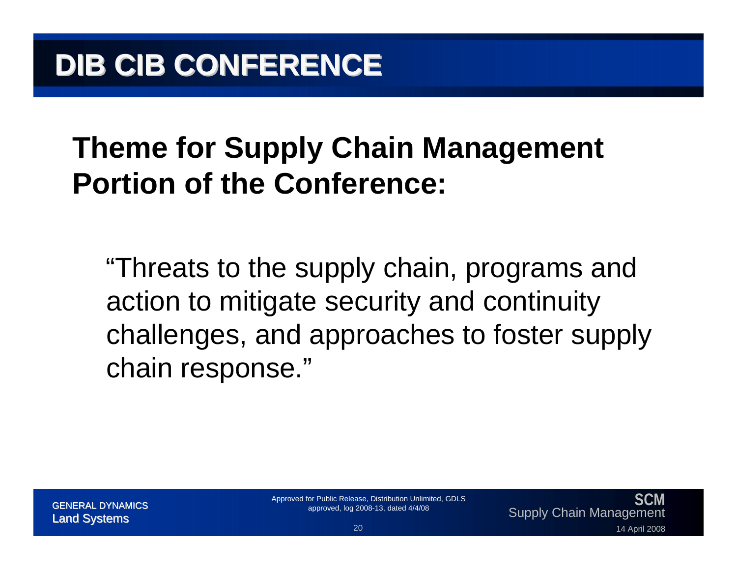## **Theme for Supply Chain Management Portion of the Conference:**

"Threats to the supply chain, programs and action to mitigate security and continuity challenges, and approaches to foster supply chain response."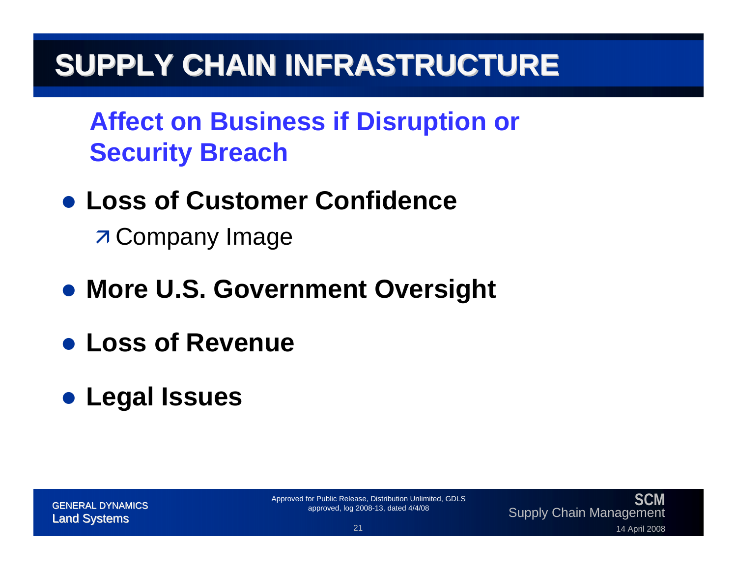**Affect on Business if Disruption or Security Breach**

**• Loss of Customer Confidence** 

**7 Company Image** 

- **More U.S. Government Oversight**
- z **Loss of Revenue**
- z **Legal Issues**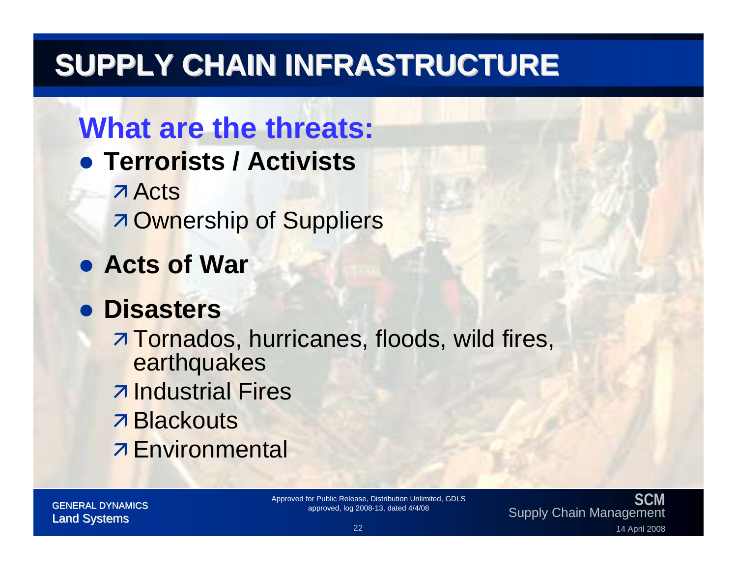## **What are the threats:**

- **Terrorists / Activists** 
	- **7 Acts 7 Ownership of Suppliers**
- **Acts of War**

#### z **Disasters**

**Tornados, hurricanes, floods, wild fires,** earthquakes z Industrial Fires **7 Blackouts Z** Environmental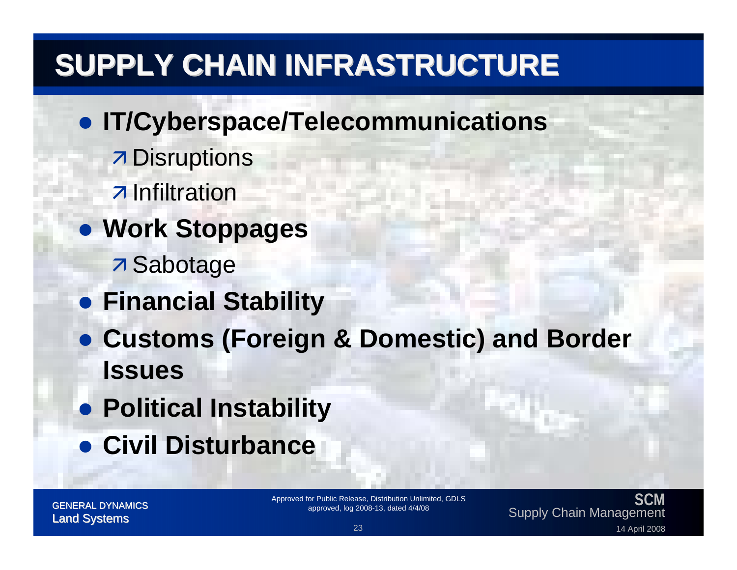#### **• IT/Cyberspace/Telecommunications**

- **7 Disruptions**
- $\overline{\phantom{a}}$  Infiltration
- **Work Stoppages** 
	- **7** Sabotage
- **Financial Stability**
- z **Customs (Foreign & Domestic) and Border Issues**
- **Political Instability**
- **Civil Disturbance**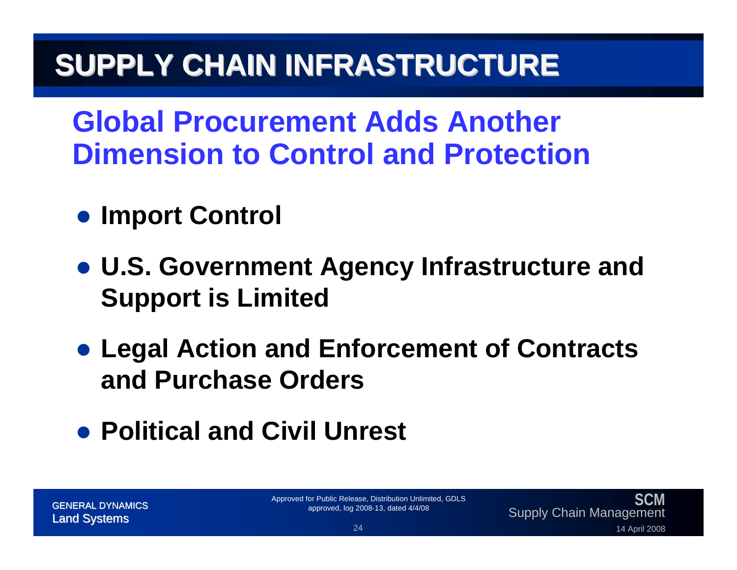**Global Procurement Adds Another Dimension to Control and Protection**

- **Import Control**
- z **U.S. Government Agency Infrastructure and Support is Limited**
- **Legal Action and Enforcement of Contracts and Purchase Orders**

### **• Political and Civil Unrest**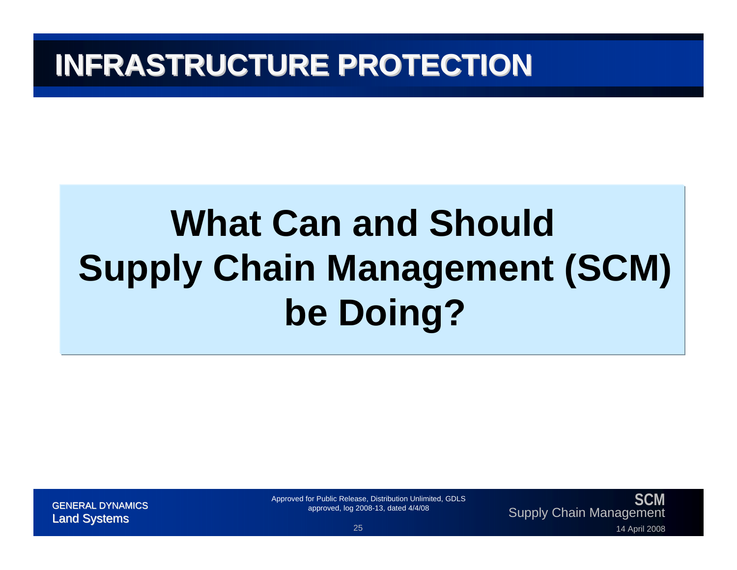## **INFRASTRUCTURE PROTECTION INFRASTRUCTURE PROTECTION**

# **What Can and Should Supply Chain Management (SCM) be Doing?**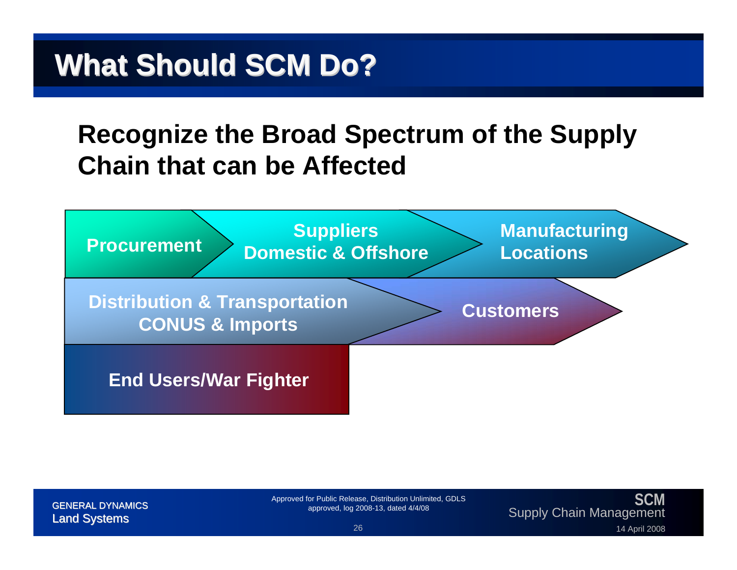#### **Recognize the Broad Spectrum of the Supply Chain that can be Affected**

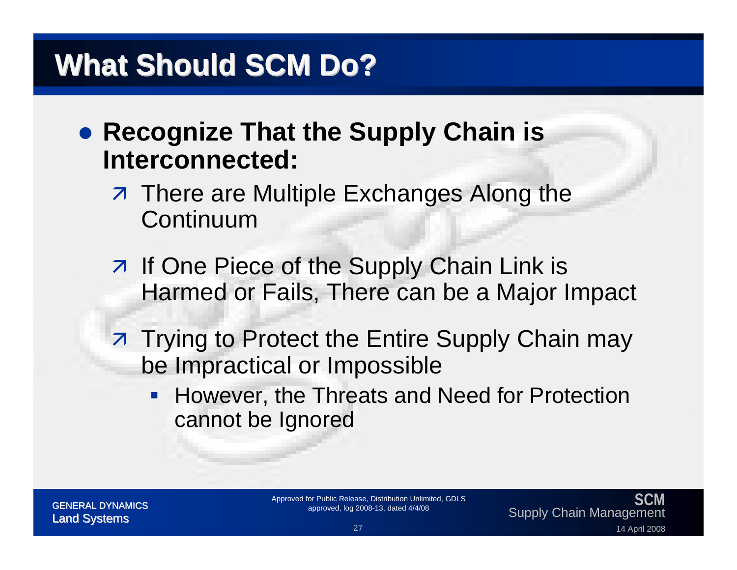- **Recognize That the Supply Chain is Interconnected:**
	- **7** There are Multiple Exchanges Along the Continuum
	- **7** If One Piece of the Supply Chain Link is Harmed or Fails, There can be a Major Impact
	- **Trying to Protect the Entire Supply Chain may** be Impractical or Impossible
		- **However, the Threats and Need for Protection** cannot be Ignored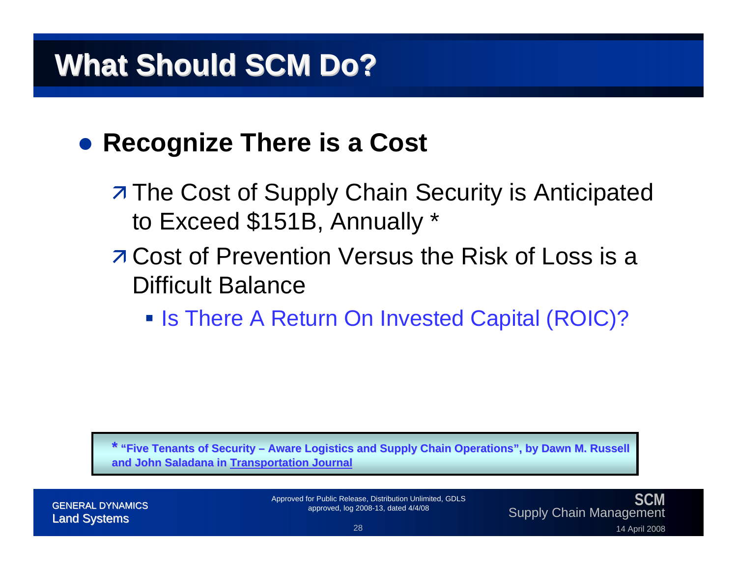#### **• Recognize There is a Cost**

- **7 The Cost of Supply Chain Security is Anticipated** to Exceed \$151B, Annually \*
- **7 Cost of Prevention Versus the Risk of Loss is a** Difficult Balance
	- **Is There A Return On Invested Capital (ROIC)?**

**\* "Five Tenants of Security "Five Tenants of Security – Aware Logistics and Supply Chain Aware Logistics and Supply Chain Operations", by Dawn M. Russel Operations", by Dawn M. Russell and John John Saladana in Transportation Journal Transportation**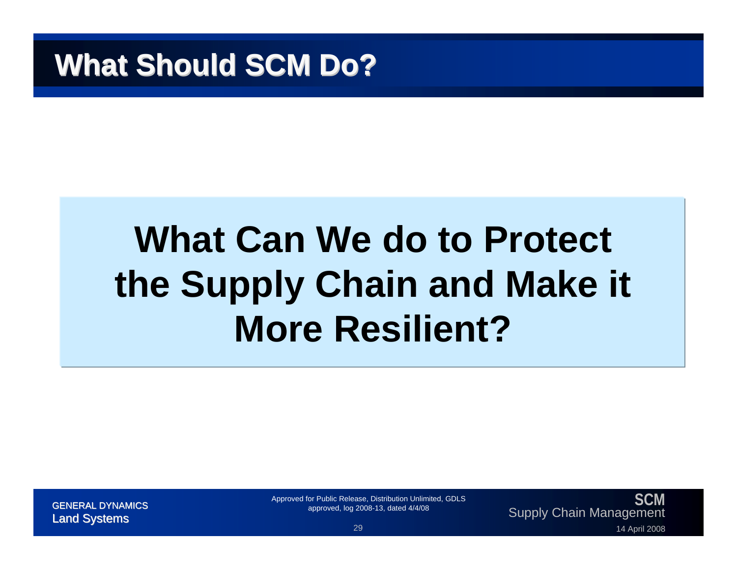## **What Can We do to Protect the Supply Chain and Make it More Resilient?**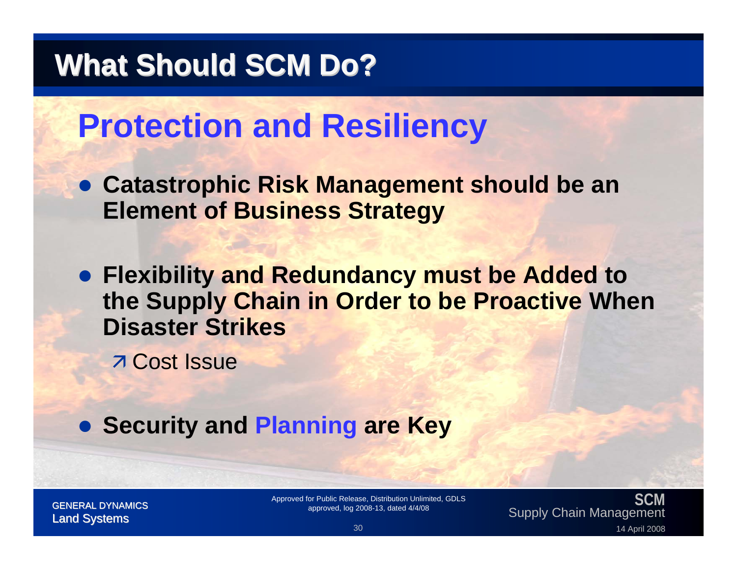## **Protection and Resiliency**

**• Catastrophic Risk Management should be an Element of Business Strategy**

**• Flexibility and Redundancy must be Added to the Supply Chain in Order to be Proactive When Disaster Strikes**

**7 Cost Issue** 

**• Security and Planning are Key** 

**SCM**SUM Approved for Public Release, Distribution Unlimited, GDLS<br>GENERAL DYNAMICS approved, log 2008-13, dated 4/4/08 2008 Approved, log 2008-13, dated 4/4/08 2008<br>14 April 2008 30 14 April 2008 19 Management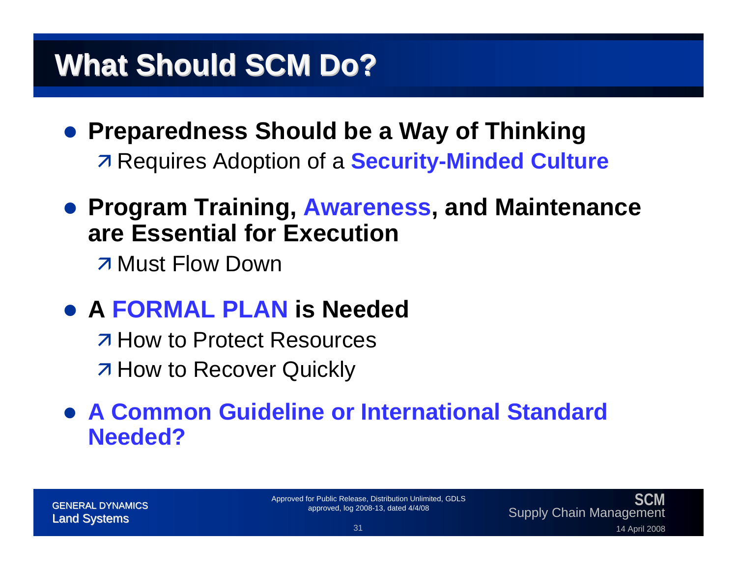- **Preparedness Should be a Way of Thinking Requires Adoption of a Security-Minded Culture**
- **Program Training, Awareness, and Maintenance are Essential for Execution**

**7 Must Flow Down** 

z **A FORMAL PLAN is Needed**

 $\overline{\phantom{a}}$  **How to Protect Resources 7 How to Recover Quickly** 

#### **• A Common Guideline or International Standard Needed?**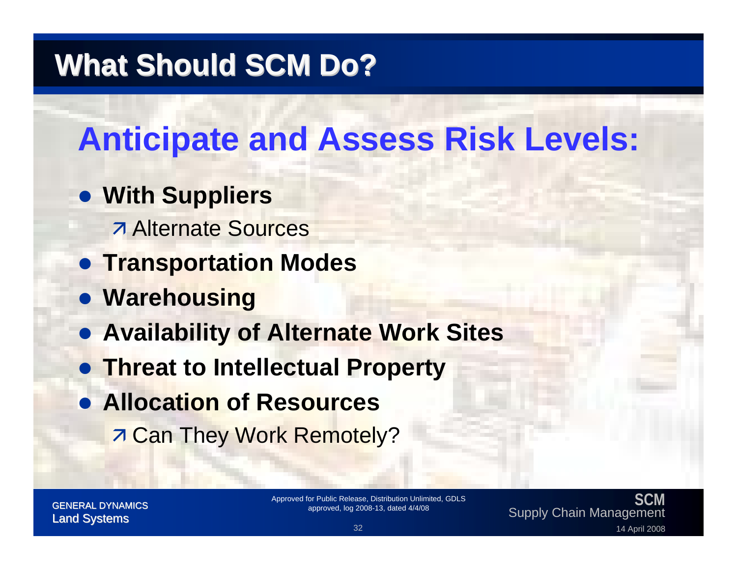## **Anticipate and Assess Risk Levels:**

#### **• With Suppliers**

- *Alternate Sources*
- **Transportation Modes**
- **Warehousing**
- **Availability of Alternate Work Sites**
- **Threat to Intellectual Property**
- **Allocation of Resources 7 Can They Work Remotely?**

#### **SCM**SUM Approved for Public Release, Distribution Unlimited, GDLS<br>GENERAL DYNAMICS approved, log 2008-13, dated 4/4/08 2008 Approved, log 2008-13, dated 4/4/08 2008<br>14 April 2008 32 14 April 2008 32 32 14 April 2008 2008 2008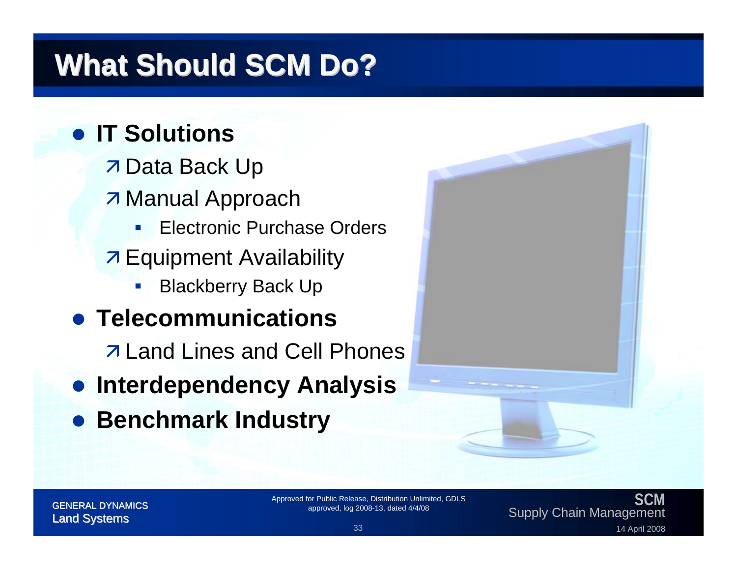#### **• IT Solutions**

- **7 Data Back Up**
- **7 Manual Approach** 
	- $\overline{\phantom{a}}$ Electronic Purchase Orders
- **7 Equipment Availability** 
	- $\mathbb{R}^2$ Blackberry Back Up

#### **• Telecommunications**

 $\overline{\phantom{a}}$  **Land Lines and Cell Phones** 

- $\bullet$ **Interdependency Analysis**
- **Benchmark Industry**



**SCM**SUM Approved for Public Release, Distribution Unlimited, GDLS<br>GENERAL DYNAMICS approved, log 2008-13, dated 4/4/08 2008 Approved, log 2008-13, dated 4/4/08 2008<br>14 April 2008 33 14 April 2008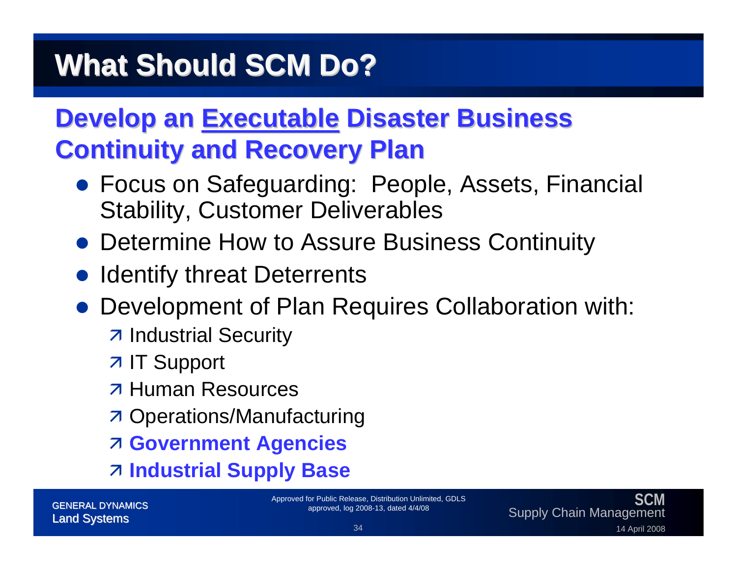### **Develop an Executable Disaster Business Continuity and Recovery Plan Continuity and Recovery Plan**

- **Focus on Safeguarding: People, Assets, Financial** Stability, Customer Deliverables
- Determine How to Assure Business Continuity
- Identify threat Deterrents
- $\bullet$  Development of Plan Requires Collaboration with:
	- **7 Industrial Security**
	- **7 IT Support**
	- **7 Human Resources**
	- **7 Operations/Manufacturing**
	- **Z Government Agencies**
	- Ê **Industrial Supply Base**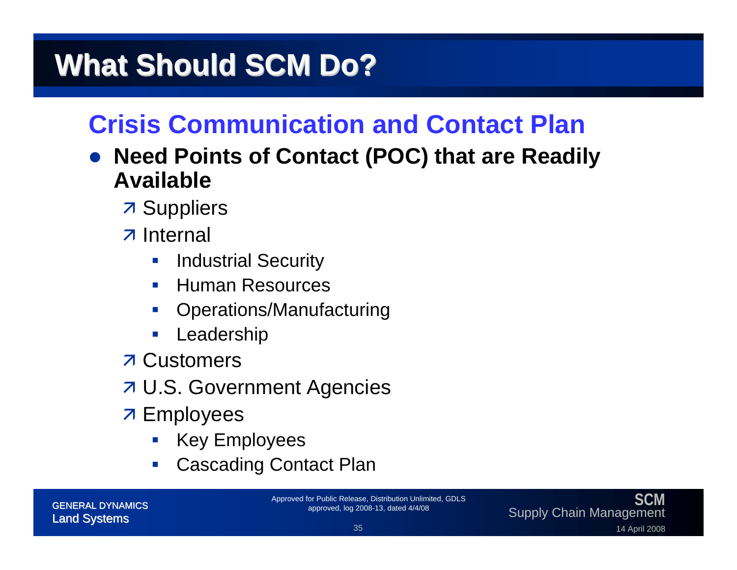#### **Crisis Communication and Contact Plan**

- $\bullet$  **Need Points of Contact (POC) that are Readily Available**
	- **7 Suppliers**
	- **7** Internal
		- $\mathcal{C}^{\mathcal{A}}$ Industrial Security
		- $\mathcal{L}^{\mathcal{A}}$ Human Resources
		- $\mathcal{L}_{\mathcal{A}}$ Operations/Manufacturing
		- $\mathcal{C}^{\mathcal{A}}$ Leadership
	- **7 Customers**
	- **7 U.S. Government Agencies**
	- **7 Employees** 
		- **Contract Contract Contract Contract Contract Contract Contract Contract Contract Contract Contract Contract Co** Key Employees
		- $\mathcal{L}_{\mathcal{A}}$ Cascading Contact Plan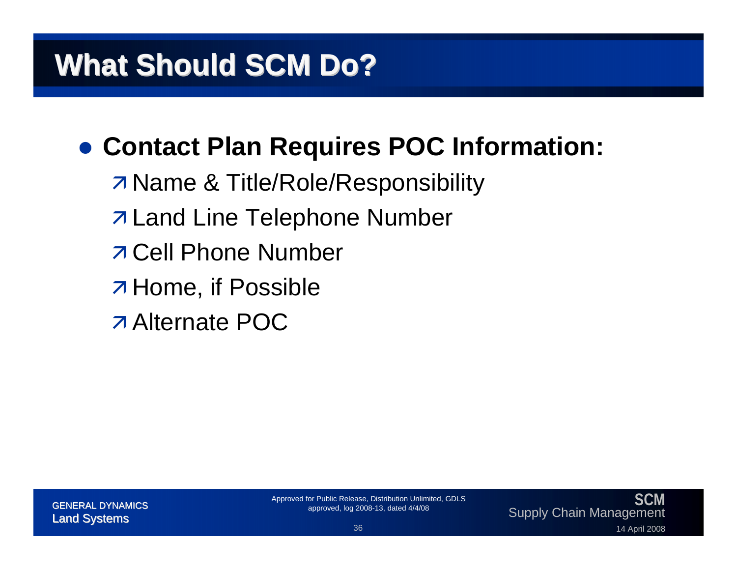### **• Contact Plan Requires POC Information:**

- **7 Name & Title/Role/Responsibility**
- **7 Land Line Telephone Number**
- $\overline{\phantom{a}}$  **Cell Phone Number**
- **A** Home, if Possible
- *Alternate POC*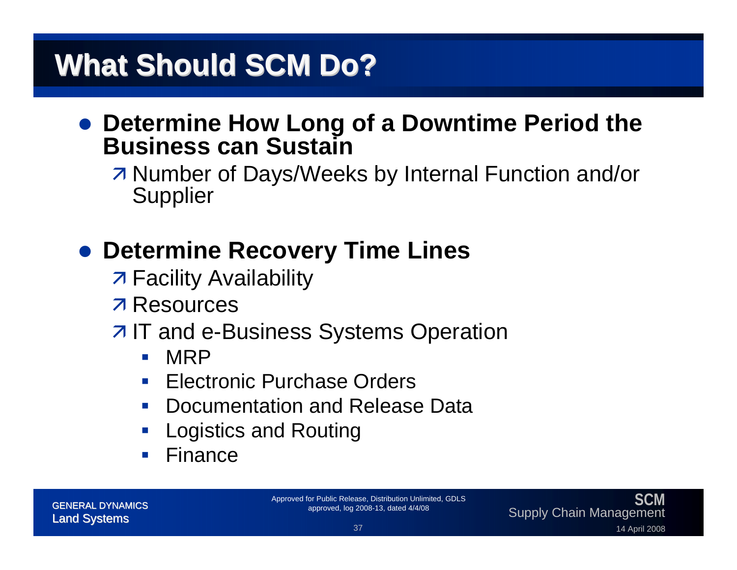#### **• Determine How Long of a Downtime Period the Business can Sustain**

**Z Number of Days/Weeks by Internal Function and/or Supplier** 

#### **• Determine Recovery Time Lines**

- **7 Facility Availability**
- **7 Resources**

#### $\overline{z}$  **IT and e-Business Systems Operation**

- $\mathcal{L}_{\mathcal{A}}$ MRP
- $\mathcal{L}_{\mathcal{A}}$ Electronic Purchase Orders
- $\mathcal{L}^{\text{max}}$ Documentation and Release Data
- **Service Service** Logistics and Routing
- Finance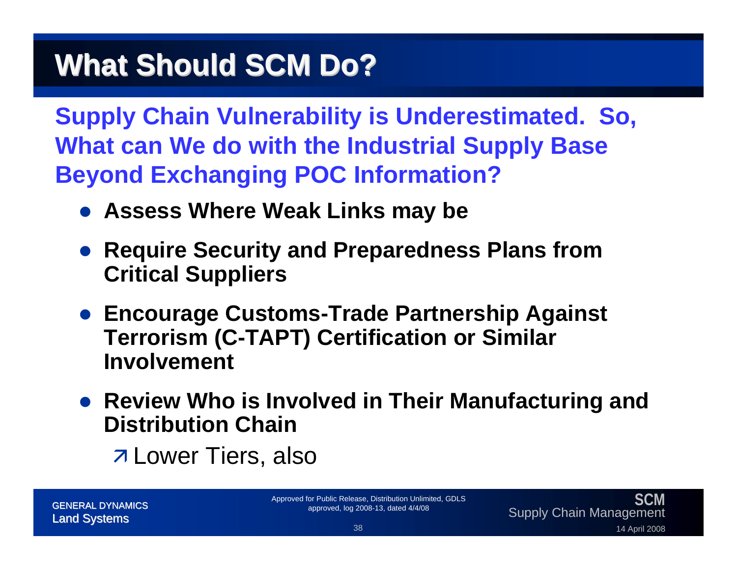**Supply Chain Vulnerability is Underestimated. So, What can We do with the Industrial Supply Base Beyond Exchanging POC Information?**

- **Assess Where Weak Links may be**
- **Require Security and Preparedness Plans from Critical Suppliers**
- **Encourage Customs-Trade Partnership Against Terrorism (C-TAPT) Certification or Similar Involvement**
- **Review Who is Involved in Their Manufacturing and Distribution Chain**
	- **7 Lower Tiers, also**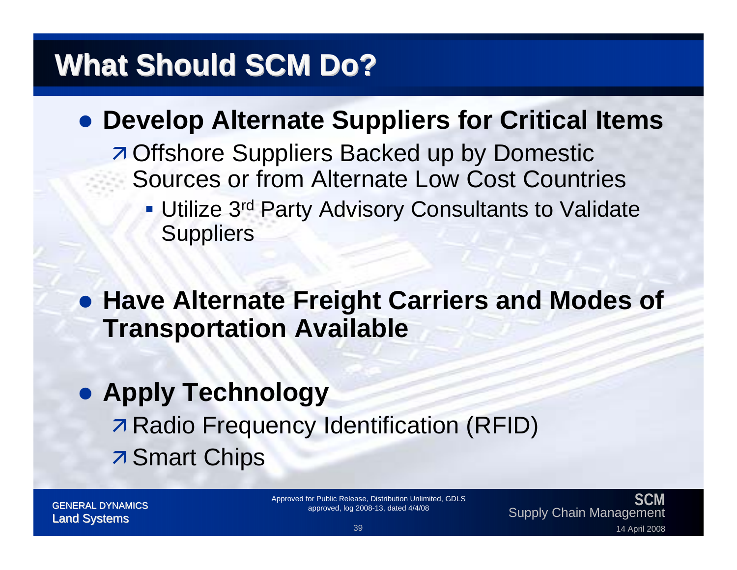#### **• Develop Alternate Suppliers for Critical Items**

- **A Offshore Suppliers Backed up by Domestic** Sources or from Alternate Low Cost Countries
	- **Utilize 3rd Party Advisory Consultants to Validate Suppliers**

**• Have Alternate Freight Carriers and Modes of Transportation Available**

## **• Apply Technology Radio Frequency Identification (RFID) 7 Smart Chips**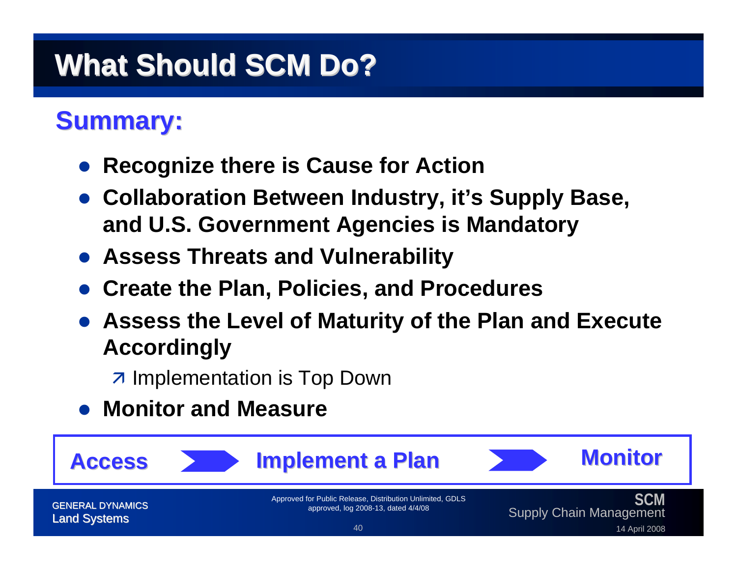#### **Summary: Summary:**

- $\bullet$ **Recognize there is Cause for Action**
- **Collaboration Between Industry, it's Supply Base, and U.S. Government Agencies is Mandatory**
- **Assess Threats and Vulnerability**
- **Create the Plan, Policies, and Procedures**
- $\bullet$  **Assess the Level of Maturity of the Plan and Execute Accordingly**

 $\overline{z}$  Implementation is Top Down

#### **• Monitor and Measure**